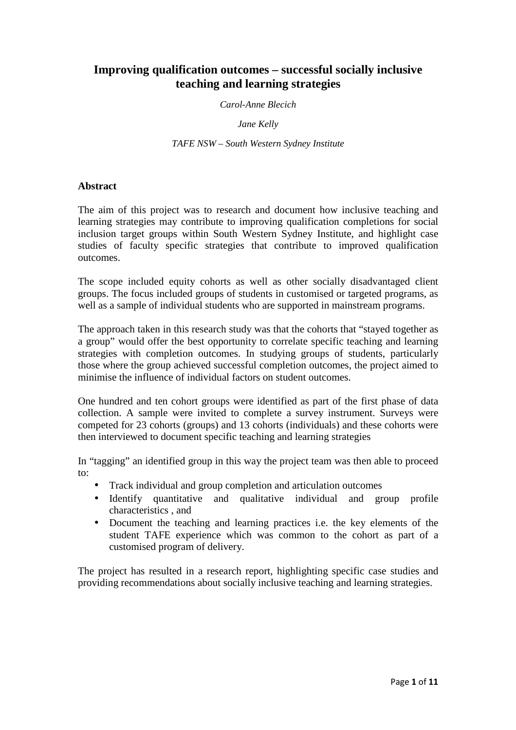# **Improving qualification outcomes – successful socially inclusive teaching and learning strategies**

*Carol-Anne Blecich* 

*Jane Kelly* 

*TAFE NSW – South Western Sydney Institute* 

# **Abstract**

The aim of this project was to research and document how inclusive teaching and learning strategies may contribute to improving qualification completions for social inclusion target groups within South Western Sydney Institute, and highlight case studies of faculty specific strategies that contribute to improved qualification outcomes.

The scope included equity cohorts as well as other socially disadvantaged client groups. The focus included groups of students in customised or targeted programs, as well as a sample of individual students who are supported in mainstream programs.

The approach taken in this research study was that the cohorts that "stayed together as a group" would offer the best opportunity to correlate specific teaching and learning strategies with completion outcomes. In studying groups of students, particularly those where the group achieved successful completion outcomes, the project aimed to minimise the influence of individual factors on student outcomes.

One hundred and ten cohort groups were identified as part of the first phase of data collection. A sample were invited to complete a survey instrument. Surveys were competed for 23 cohorts (groups) and 13 cohorts (individuals) and these cohorts were then interviewed to document specific teaching and learning strategies

In "tagging" an identified group in this way the project team was then able to proceed to:

- Track individual and group completion and articulation outcomes
- Identify quantitative and qualitative individual and group profile characteristics , and
- Document the teaching and learning practices i.e. the key elements of the student TAFE experience which was common to the cohort as part of a customised program of delivery.

The project has resulted in a research report, highlighting specific case studies and providing recommendations about socially inclusive teaching and learning strategies.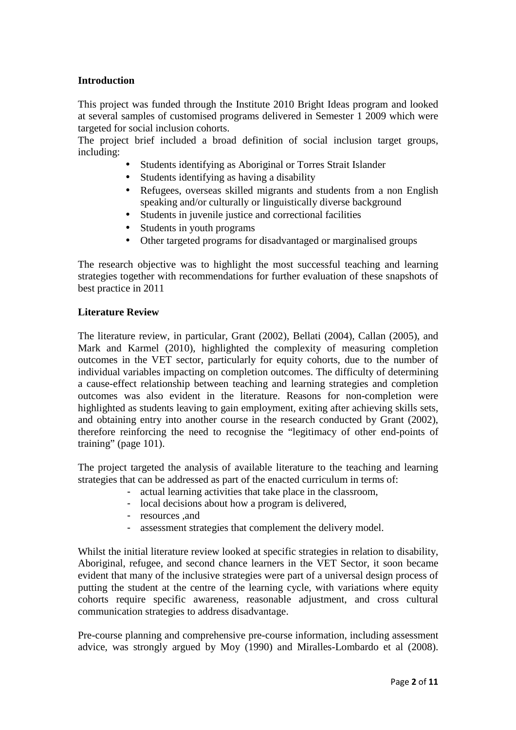# **Introduction**

This project was funded through the Institute 2010 Bright Ideas program and looked at several samples of customised programs delivered in Semester 1 2009 which were targeted for social inclusion cohorts.

The project brief included a broad definition of social inclusion target groups, including:

- Students identifying as Aboriginal or Torres Strait Islander
- Students identifying as having a disability
- Refugees, overseas skilled migrants and students from a non English speaking and/or culturally or linguistically diverse background
- Students in juvenile justice and correctional facilities
- Students in youth programs
- Other targeted programs for disadvantaged or marginalised groups

The research objective was to highlight the most successful teaching and learning strategies together with recommendations for further evaluation of these snapshots of best practice in 2011

#### **Literature Review**

The literature review, in particular, Grant (2002), Bellati (2004), Callan (2005), and Mark and Karmel (2010), highlighted the complexity of measuring completion outcomes in the VET sector, particularly for equity cohorts, due to the number of individual variables impacting on completion outcomes. The difficulty of determining a cause-effect relationship between teaching and learning strategies and completion outcomes was also evident in the literature. Reasons for non-completion were highlighted as students leaving to gain employment, exiting after achieving skills sets, and obtaining entry into another course in the research conducted by Grant (2002), therefore reinforcing the need to recognise the "legitimacy of other end-points of training" (page 101).

The project targeted the analysis of available literature to the teaching and learning strategies that can be addressed as part of the enacted curriculum in terms of:

- actual learning activities that take place in the classroom,
- local decisions about how a program is delivered,
- resources ,and
- assessment strategies that complement the delivery model.

Whilst the initial literature review looked at specific strategies in relation to disability, Aboriginal, refugee, and second chance learners in the VET Sector, it soon became evident that many of the inclusive strategies were part of a universal design process of putting the student at the centre of the learning cycle, with variations where equity cohorts require specific awareness, reasonable adjustment, and cross cultural communication strategies to address disadvantage.

Pre-course planning and comprehensive pre-course information, including assessment advice, was strongly argued by Moy (1990) and Miralles-Lombardo et al (2008).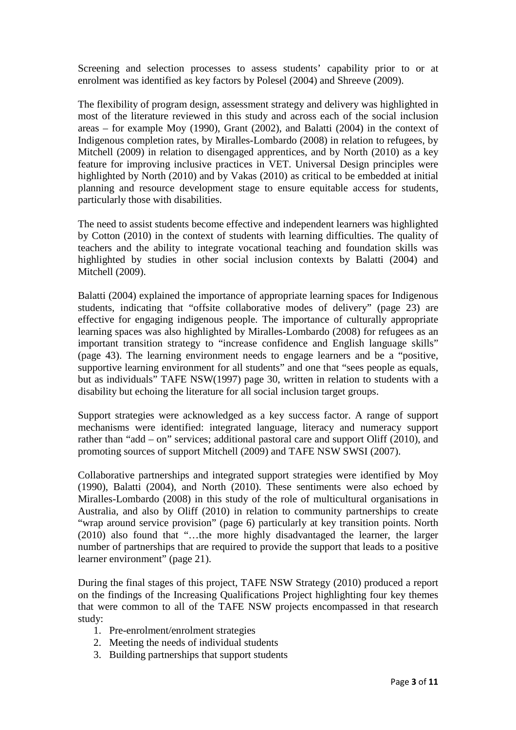Screening and selection processes to assess students' capability prior to or at enrolment was identified as key factors by Polesel (2004) and Shreeve (2009).

The flexibility of program design, assessment strategy and delivery was highlighted in most of the literature reviewed in this study and across each of the social inclusion areas – for example Moy (1990), Grant (2002), and Balatti (2004) in the context of Indigenous completion rates, by Miralles-Lombardo (2008) in relation to refugees, by Mitchell (2009) in relation to disengaged apprentices, and by North (2010) as a key feature for improving inclusive practices in VET. Universal Design principles were highlighted by North (2010) and by Vakas (2010) as critical to be embedded at initial planning and resource development stage to ensure equitable access for students, particularly those with disabilities.

The need to assist students become effective and independent learners was highlighted by Cotton (2010) in the context of students with learning difficulties. The quality of teachers and the ability to integrate vocational teaching and foundation skills was highlighted by studies in other social inclusion contexts by Balatti (2004) and Mitchell (2009).

Balatti (2004) explained the importance of appropriate learning spaces for Indigenous students, indicating that "offsite collaborative modes of delivery" (page 23) are effective for engaging indigenous people. The importance of culturally appropriate learning spaces was also highlighted by Miralles-Lombardo (2008) for refugees as an important transition strategy to "increase confidence and English language skills" (page 43). The learning environment needs to engage learners and be a "positive, supportive learning environment for all students" and one that "sees people as equals, but as individuals" TAFE NSW(1997) page 30, written in relation to students with a disability but echoing the literature for all social inclusion target groups.

Support strategies were acknowledged as a key success factor. A range of support mechanisms were identified: integrated language, literacy and numeracy support rather than "add – on" services; additional pastoral care and support Oliff (2010), and promoting sources of support Mitchell (2009) and TAFE NSW SWSI (2007).

Collaborative partnerships and integrated support strategies were identified by Moy (1990), Balatti (2004), and North (2010). These sentiments were also echoed by Miralles-Lombardo (2008) in this study of the role of multicultural organisations in Australia, and also by Oliff (2010) in relation to community partnerships to create "wrap around service provision" (page 6) particularly at key transition points. North (2010) also found that "…the more highly disadvantaged the learner, the larger number of partnerships that are required to provide the support that leads to a positive learner environment" (page 21).

During the final stages of this project, TAFE NSW Strategy (2010) produced a report on the findings of the Increasing Qualifications Project highlighting four key themes that were common to all of the TAFE NSW projects encompassed in that research study:

- 1. Pre-enrolment/enrolment strategies
- 2. Meeting the needs of individual students
- 3. Building partnerships that support students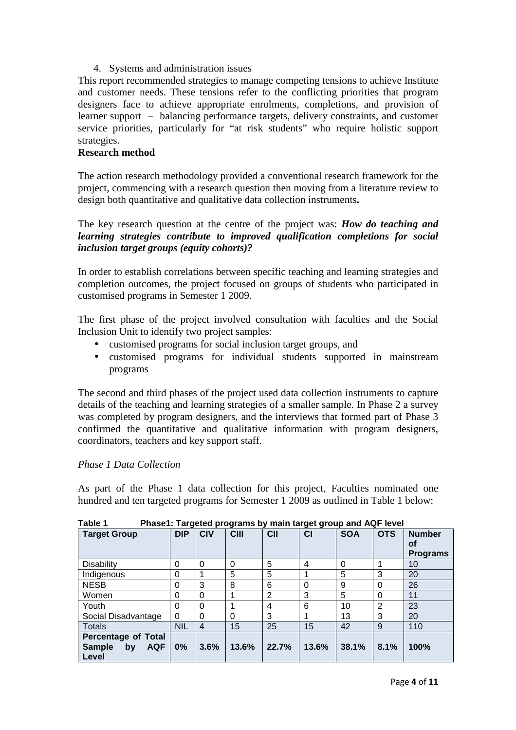## 4. Systems and administration issues

This report recommended strategies to manage competing tensions to achieve Institute and customer needs. These tensions refer to the conflicting priorities that program designers face to achieve appropriate enrolments, completions, and provision of learner support – balancing performance targets, delivery constraints, and customer service priorities, particularly for "at risk students" who require holistic support strategies.

## **Research method**

The action research methodology provided a conventional research framework for the project, commencing with a research question then moving from a literature review to design both quantitative and qualitative data collection instruments**.** 

The key research question at the centre of the project was: *How do teaching and learning strategies contribute to improved qualification completions for social inclusion target groups (equity cohorts)?*

In order to establish correlations between specific teaching and learning strategies and completion outcomes, the project focused on groups of students who participated in customised programs in Semester 1 2009.

The first phase of the project involved consultation with faculties and the Social Inclusion Unit to identify two project samples:

- customised programs for social inclusion target groups, and
- customised programs for individual students supported in mainstream programs

The second and third phases of the project used data collection instruments to capture details of the teaching and learning strategies of a smaller sample. In Phase 2 a survey was completed by program designers, and the interviews that formed part of Phase 3 confirmed the quantitative and qualitative information with program designers, coordinators, teachers and key support staff.

# *Phase 1 Data Collection*

As part of the Phase 1 data collection for this project, Faculties nominated one hundred and ten targeted programs for Semester 1 2009 as outlined in Table 1 below:

| <b>Target Group</b>                                                      | <b>DIP</b> | <b>CIV</b> | ಎ.<br><b>CIII</b> | CII   | <u>a - - a - -</u><br>CI | <b>SOA</b> | <b>OTS</b> | <b>Number</b><br>οf<br><b>Programs</b> |
|--------------------------------------------------------------------------|------------|------------|-------------------|-------|--------------------------|------------|------------|----------------------------------------|
| Disability                                                               | $\Omega$   | $\Omega$   | $\Omega$          | 5     | 4                        | $\Omega$   |            | 10                                     |
| Indigenous                                                               | $\Omega$   |            | 5                 | 5     |                          | 5          | 3          | 20                                     |
| <b>NESB</b>                                                              | $\Omega$   | 3          | 8                 | 6     | 0                        | 9          | 0          | 26                                     |
| Women                                                                    | $\Omega$   | $\Omega$   |                   | 2     | 3                        | 5          | 0          | 11                                     |
| Youth                                                                    | $\Omega$   | $\Omega$   |                   | 4     | 6                        | 10         | 2          | 23                                     |
| Social Disadvantage                                                      | $\Omega$   | $\Omega$   | $\Omega$          | 3     |                          | 13         | 3          | 20                                     |
| <b>Totals</b>                                                            | <b>NIL</b> | 4          | 15                | 25    | 15                       | 42         | 9          | 110                                    |
| <b>Percentage of Total</b><br><b>AQF</b><br><b>Sample</b><br>by<br>Level | 0%         | 3.6%       | 13.6%             | 22.7% | 13.6%                    | 38.1%      | 8.1%       | 100%                                   |

**Table 1 Phase1: Targeted programs by main target group and AQF level**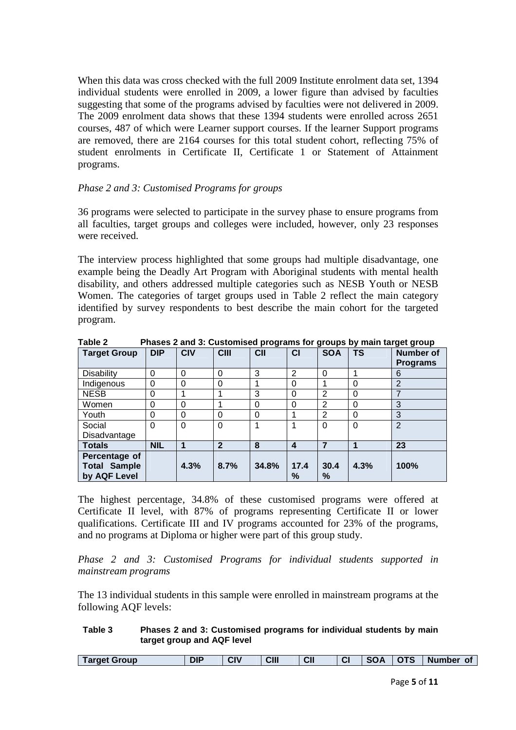When this data was cross checked with the full 2009 Institute enrolment data set, 1394 individual students were enrolled in 2009, a lower figure than advised by faculties suggesting that some of the programs advised by faculties were not delivered in 2009. The 2009 enrolment data shows that these 1394 students were enrolled across 2651 courses, 487 of which were Learner support courses. If the learner Support programs are removed, there are 2164 courses for this total student cohort, reflecting 75% of student enrolments in Certificate II, Certificate 1 or Statement of Attainment programs.

#### *Phase 2 and 3: Customised Programs for groups*

36 programs were selected to participate in the survey phase to ensure programs from all faculties, target groups and colleges were included, however, only 23 responses were received.

The interview process highlighted that some groups had multiple disadvantage, one example being the Deadly Art Program with Aboriginal students with mental health disability, and others addressed multiple categories such as NESB Youth or NESB Women. The categories of target groups used in Table 2 reflect the main category identified by survey respondents to best describe the main cohort for the targeted program.

| <b>Target Group</b> | <b>DIP</b> | <b>CIV</b> | <b>CIII</b>    | C <sub>II</sub> | <b>CI</b>               | <b>SOA</b>     | <b>TS</b>   | <b>Number of</b><br><b>Programs</b> |
|---------------------|------------|------------|----------------|-----------------|-------------------------|----------------|-------------|-------------------------------------|
| Disability          | $\Omega$   | 0          | 0              | 3               | 2                       | 0              | 1           | 6                                   |
| Indigenous          | $\Omega$   | 0          | 0              | 4               | $\Omega$                |                | $\mathbf 0$ | $\overline{2}$                      |
| <b>NESB</b>         | $\Omega$   |            |                | 3               | $\Omega$                | 2              | $\mathbf 0$ | 7                                   |
| Women               | 0          | 0          |                | 0               | $\Omega$                | $\overline{2}$ | 0           | 3                                   |
| Youth               | 0          | 0          | 0              | 0               |                         | $\overline{2}$ | $\mathbf 0$ | 3                                   |
| Social              | 0          | $\Omega$   | $\mathbf 0$    | 1               |                         | 0              | $\Omega$    | $\overline{2}$                      |
| Disadvantage        |            |            |                |                 |                         |                |             |                                     |
| <b>Totals</b>       | <b>NIL</b> | 1          | $\overline{2}$ | 8               | $\overline{\mathbf{4}}$ | 7              |             | 23                                  |
| Percentage of       |            |            |                |                 |                         |                |             |                                     |
| <b>Total Sample</b> |            | 4.3%       | 8.7%           | 34.8%           | 17.4                    | 30.4           | 4.3%        | 100%                                |
| by AQF Level        |            |            |                |                 | %                       | %              |             |                                     |

**Table 2 Phases 2 and 3: Customised programs for groups by main target group** 

The highest percentage, 34.8% of these customised programs were offered at Certificate II level, with 87% of programs representing Certificate II or lower qualifications. Certificate III and IV programs accounted for 23% of the programs, and no programs at Diploma or higher were part of this group study.

*Phase 2 and 3: Customised Programs for individual students supported in mainstream programs* 

The 13 individual students in this sample were enrolled in mainstream programs at the following AQF levels:

#### **Table 3 Phases 2 and 3: Customised programs for individual students by main target group and AQF level**

| Target Group | DIP | CIV | CIII | CII | ⌒ | -56 | <b>CTC</b> | <b>Number</b><br>Οt |
|--------------|-----|-----|------|-----|---|-----|------------|---------------------|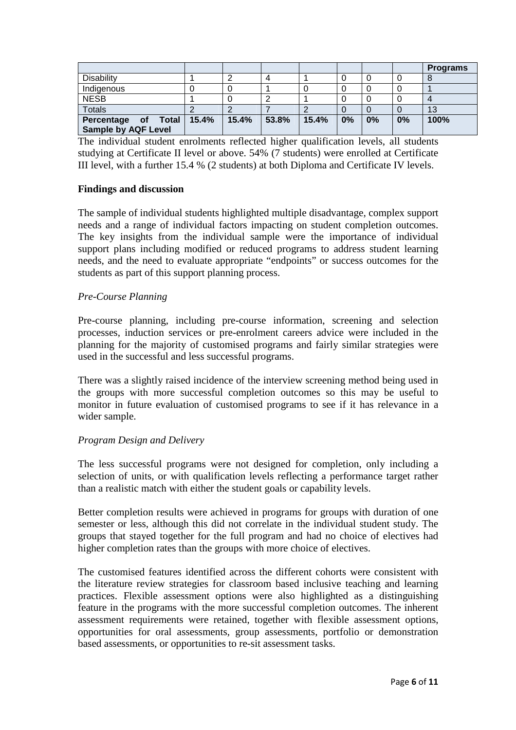|                                                   |       |       |       |       |    |    |    | <b>Programs</b> |
|---------------------------------------------------|-------|-------|-------|-------|----|----|----|-----------------|
| <b>Disability</b>                                 |       |       |       |       |    |    |    |                 |
| Indigenous                                        |       |       |       |       |    |    |    |                 |
| <b>NESB</b>                                       |       |       |       |       |    |    |    |                 |
| <b>Totals</b>                                     |       |       |       |       |    |    |    | 13              |
| Percentage of Total<br><b>Sample by AQF Level</b> | 15.4% | 15.4% | 53.8% | 15.4% | 0% | 0% | 0% | 100%            |

The individual student enrolments reflected higher qualification levels, all students studying at Certificate II level or above. 54% (7 students) were enrolled at Certificate III level, with a further 15.4 % (2 students) at both Diploma and Certificate IV levels.

#### **Findings and discussion**

The sample of individual students highlighted multiple disadvantage, complex support needs and a range of individual factors impacting on student completion outcomes. The key insights from the individual sample were the importance of individual support plans including modified or reduced programs to address student learning needs, and the need to evaluate appropriate "endpoints" or success outcomes for the students as part of this support planning process.

# *Pre-Course Planning*

Pre-course planning, including pre-course information, screening and selection processes, induction services or pre-enrolment careers advice were included in the planning for the majority of customised programs and fairly similar strategies were used in the successful and less successful programs.

There was a slightly raised incidence of the interview screening method being used in the groups with more successful completion outcomes so this may be useful to monitor in future evaluation of customised programs to see if it has relevance in a wider sample.

# *Program Design and Delivery*

The less successful programs were not designed for completion, only including a selection of units, or with qualification levels reflecting a performance target rather than a realistic match with either the student goals or capability levels.

Better completion results were achieved in programs for groups with duration of one semester or less, although this did not correlate in the individual student study. The groups that stayed together for the full program and had no choice of electives had higher completion rates than the groups with more choice of electives.

The customised features identified across the different cohorts were consistent with the literature review strategies for classroom based inclusive teaching and learning practices. Flexible assessment options were also highlighted as a distinguishing feature in the programs with the more successful completion outcomes. The inherent assessment requirements were retained, together with flexible assessment options, opportunities for oral assessments, group assessments, portfolio or demonstration based assessments, or opportunities to re-sit assessment tasks.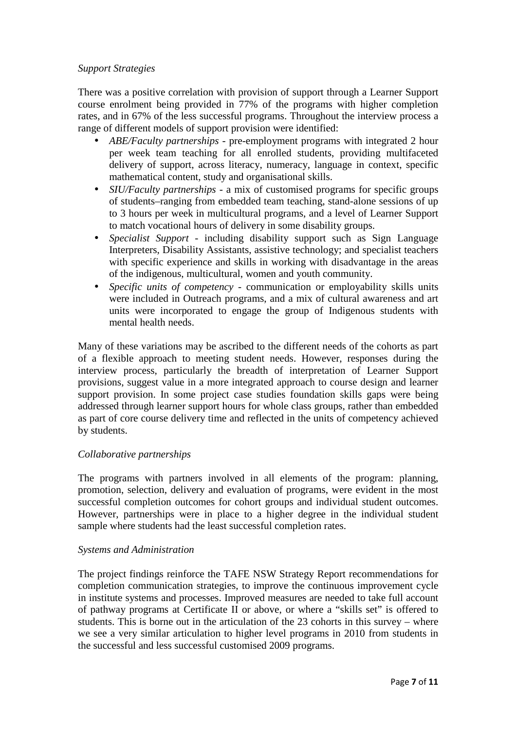## *Support Strategies*

There was a positive correlation with provision of support through a Learner Support course enrolment being provided in 77% of the programs with higher completion rates, and in 67% of the less successful programs. Throughout the interview process a range of different models of support provision were identified:

- *ABE/Faculty partnerships* pre-employment programs with integrated 2 hour per week team teaching for all enrolled students, providing multifaceted delivery of support, across literacy, numeracy, language in context, specific mathematical content, study and organisational skills.
- *SIU/Faculty partnerships* a mix of customised programs for specific groups of students–ranging from embedded team teaching, stand-alone sessions of up to 3 hours per week in multicultural programs, and a level of Learner Support to match vocational hours of delivery in some disability groups.
- *Specialist Support* including disability support such as Sign Language Interpreters, Disability Assistants, assistive technology; and specialist teachers with specific experience and skills in working with disadvantage in the areas of the indigenous, multicultural, women and youth community.
- *Specific units of competency* communication or employability skills units were included in Outreach programs, and a mix of cultural awareness and art units were incorporated to engage the group of Indigenous students with mental health needs.

Many of these variations may be ascribed to the different needs of the cohorts as part of a flexible approach to meeting student needs. However, responses during the interview process, particularly the breadth of interpretation of Learner Support provisions, suggest value in a more integrated approach to course design and learner support provision. In some project case studies foundation skills gaps were being addressed through learner support hours for whole class groups, rather than embedded as part of core course delivery time and reflected in the units of competency achieved by students.

# *Collaborative partnerships*

The programs with partners involved in all elements of the program: planning, promotion, selection, delivery and evaluation of programs, were evident in the most successful completion outcomes for cohort groups and individual student outcomes. However, partnerships were in place to a higher degree in the individual student sample where students had the least successful completion rates.

#### *Systems and Administration*

The project findings reinforce the TAFE NSW Strategy Report recommendations for completion communication strategies, to improve the continuous improvement cycle in institute systems and processes. Improved measures are needed to take full account of pathway programs at Certificate II or above, or where a "skills set" is offered to students. This is borne out in the articulation of the 23 cohorts in this survey – where we see a very similar articulation to higher level programs in 2010 from students in the successful and less successful customised 2009 programs.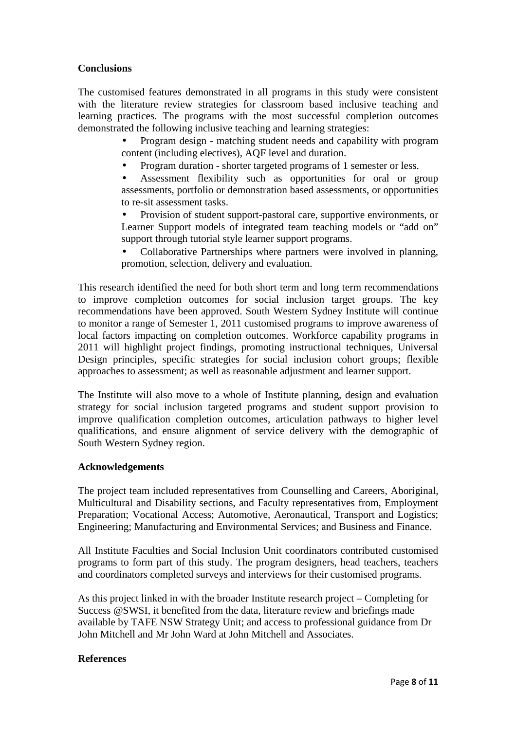# **Conclusions**

The customised features demonstrated in all programs in this study were consistent with the literature review strategies for classroom based inclusive teaching and learning practices. The programs with the most successful completion outcomes demonstrated the following inclusive teaching and learning strategies:

> • Program design - matching student needs and capability with program content (including electives), AQF level and duration.

• Program duration - shorter targeted programs of 1 semester or less.

Assessment flexibility such as opportunities for oral or group assessments, portfolio or demonstration based assessments, or opportunities to re-sit assessment tasks.

• Provision of student support-pastoral care, supportive environments, or Learner Support models of integrated team teaching models or "add on" support through tutorial style learner support programs.

• Collaborative Partnerships where partners were involved in planning, promotion, selection, delivery and evaluation.

This research identified the need for both short term and long term recommendations to improve completion outcomes for social inclusion target groups. The key recommendations have been approved. South Western Sydney Institute will continue to monitor a range of Semester 1, 2011 customised programs to improve awareness of local factors impacting on completion outcomes. Workforce capability programs in 2011 will highlight project findings, promoting instructional techniques, Universal Design principles, specific strategies for social inclusion cohort groups; flexible approaches to assessment; as well as reasonable adjustment and learner support.

The Institute will also move to a whole of Institute planning, design and evaluation strategy for social inclusion targeted programs and student support provision to improve qualification completion outcomes, articulation pathways to higher level qualifications, and ensure alignment of service delivery with the demographic of South Western Sydney region.

#### **Acknowledgements**

The project team included representatives from Counselling and Careers, Aboriginal, Multicultural and Disability sections, and Faculty representatives from, Employment Preparation; Vocational Access; Automotive, Aeronautical, Transport and Logistics; Engineering; Manufacturing and Environmental Services; and Business and Finance.

All Institute Faculties and Social Inclusion Unit coordinators contributed customised programs to form part of this study. The program designers, head teachers, teachers and coordinators completed surveys and interviews for their customised programs.

As this project linked in with the broader Institute research project – Completing for Success @SWSI, it benefited from the data, literature review and briefings made available by TAFE NSW Strategy Unit; and access to professional guidance from Dr John Mitchell and Mr John Ward at John Mitchell and Associates.

#### **References**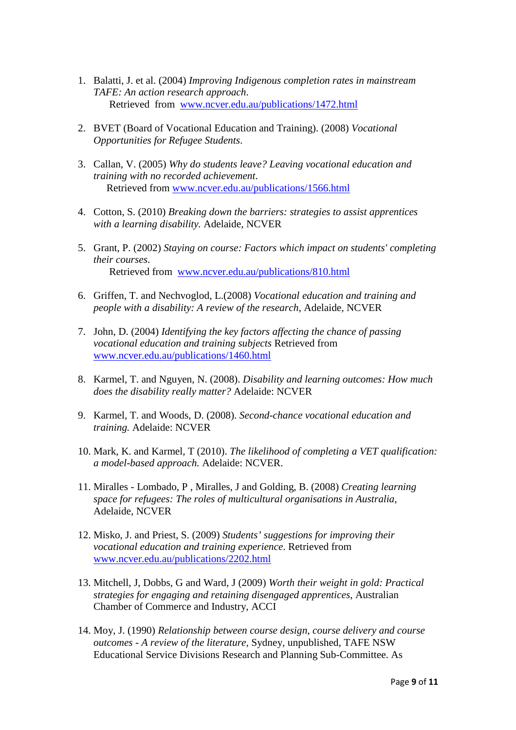- 1. Balatti, J. et al. (2004) *Improving Indigenous completion rates in mainstream TAFE: An action research approach*. Retrieved from www.ncver.edu.au/publications/1472.html
- 2. BVET (Board of Vocational Education and Training). (2008) *Vocational Opportunities for Refugee Students*.
- 3. Callan, V. (2005) *Why do students leave? Leaving vocational education and training with no recorded achievement*. Retrieved from www.ncver.edu.au/publications/1566.html
- 4. Cotton, S. (2010) *Breaking down the barriers: strategies to assist apprentices with a learning disability.* Adelaide, NCVER
- 5. Grant, P. (2002) *Staying on course: Factors which impact on students' completing their courses*. Retrieved from www.ncver.edu.au/publications/810.html
- 6. Griffen, T. and Nechvoglod, L.(2008) *Vocational education and training and people with a disability: A review of the research*, Adelaide, NCVER
- 7. John, D. (2004) *Identifying the key factors affecting the chance of passing vocational education and training subjects* Retrieved from www.ncver.edu.au/publications/1460.html
- 8. Karmel*,* T. and Nguyen, N. (2008). *Disability and learning outcomes: How much does the disability really matter?* Adelaide: NCVER
- 9. Karmel*,* T. and Woods, D. (2008). *Second-chance vocational education and training.* Adelaide: NCVER
- 10. Mark, K. and Karmel*,* T (2010). *The likelihood of completing a VET qualification: a model-based approach.* Adelaide: NCVER.
- 11. Miralles Lombado, P , Miralles, J and Golding, B. (2008) *Creating learning space for refugees: The roles of multicultural organisations in Australia*, Adelaide, NCVER
- 12. Misko, J. and Priest, S. (2009) *Students' suggestions for improving their vocational education and training experience*. Retrieved from www.ncver.edu.au/publications/2202.html
- 13. Mitchell, J, Dobbs, G and Ward, J (2009) *Worth their weight in gold: Practical strategies for engaging and retaining disengaged apprentices*, Australian Chamber of Commerce and Industry, ACCI
- 14. Moy, J. (1990) *Relationship between course design, course delivery and course outcomes - A review of the literature,* Sydney*,* unpublished*,* TAFE NSW Educational Service Divisions Research and Planning Sub-Committee. As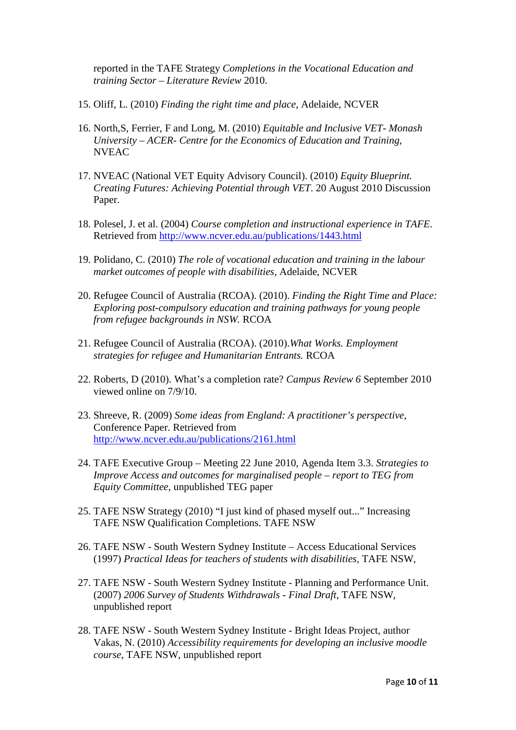reported in the TAFE Strategy *Completions in the Vocational Education and training Sector – Literature Review* 2010.

- 15. Oliff, L. (2010) *Finding the right time and place*, Adelaide, NCVER
- 16. North,S, Ferrier, F and Long, M. (2010) *Equitable and Inclusive VET- Monash University – ACER- Centre for the Economics of Education and Training*, NVEAC
- 17. NVEAC (National VET Equity Advisory Council). (2010) *Equity Blueprint. Creating Futures: Achieving Potential through VET*. 20 August 2010 Discussion Paper.
- 18. Polesel, J. et al. (2004) *Course completion and instructional experience in TAFE*. Retrieved from http://www.ncver.edu.au/publications/1443.html
- 19. Polidano, C. (2010) *The role of vocational education and training in the labour market outcomes of people with disabilities*, Adelaide, NCVER
- 20. Refugee Council of Australia (RCOA). (2010). *Finding the Right Time and Place: Exploring post-compulsory education and training pathways for young people from refugee backgrounds in NSW.* RCOA
- 21. Refugee Council of Australia (RCOA). (2010).*What Works. Employment strategies for refugee and Humanitarian Entrants.* RCOA
- 22. Roberts, D (2010). What's a completion rate? *Campus Review 6* September 2010 viewed online on 7/9/10.
- 23. Shreeve, R. (2009) *Some ideas from England: A practitioner's perspective*, Conference Paper. Retrieved from http://www.ncver.edu.au/publications/2161.html
- 24. TAFE Executive Group Meeting 22 June 2010, Agenda Item 3.3. *Strategies to Improve Access and outcomes for marginalised people – report to TEG from Equity Committee*, unpublished TEG paper
- 25. TAFE NSW Strategy (2010) "I just kind of phased myself out..." Increasing TAFE NSW Qualification Completions. TAFE NSW
- 26. TAFE NSW South Western Sydney Institute Access Educational Services (1997) *Practical Ideas for teachers of students with disabilities,* TAFE NSW,
- 27. TAFE NSW South Western Sydney Institute Planning and Performance Unit. (2007) *2006 Survey of Students Withdrawals - Final Draft,* TAFE NSW, unpublished report
- 28. TAFE NSW South Western Sydney Institute Bright Ideas Project, author Vakas, N. (2010) *Accessibility requirements for developing an inclusive moodle course,* TAFE NSW, unpublished report